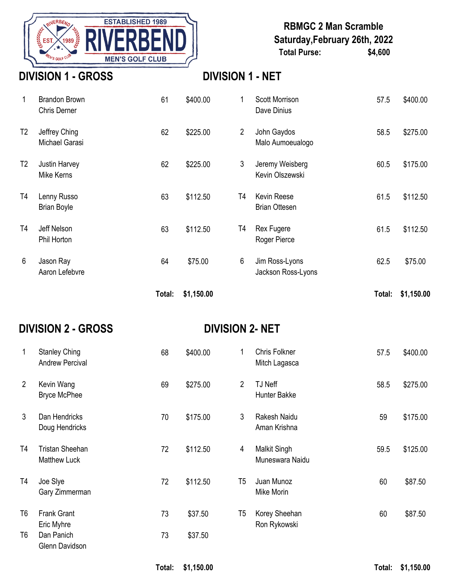

## **RBMGC 2 Man Scramble Saturday,February 26th, 2022 Total Purse: \$4,600**

## **DIVISION 1 - GROSS DIVISION 1 - NET**

|                |                                             | Total: | \$1,150.00 |                |                                            | Total: | \$1,150.00 |
|----------------|---------------------------------------------|--------|------------|----------------|--------------------------------------------|--------|------------|
| 6              | Jason Ray<br>Aaron Lefebvre                 | 64     | \$75.00    | 6              | Jim Ross-Lyons<br>Jackson Ross-Lyons       | 62.5   | \$75.00    |
| T4             | Jeff Nelson<br>Phil Horton                  | 63     | \$112.50   | T4             | <b>Rex Fugere</b><br>Roger Pierce          | 61.5   | \$112.50   |
| T4             | Lenny Russo<br><b>Brian Boyle</b>           | 63     | \$112.50   | T4             | <b>Kevin Reese</b><br><b>Brian Ottesen</b> | 61.5   | \$112.50   |
| T <sub>2</sub> | Justin Harvey<br>Mike Kerns                 | 62     | \$225.00   | 3              | Jeremy Weisberg<br>Kevin Olszewski         | 60.5   | \$175.00   |
| T <sub>2</sub> | Jeffrey Ching<br>Michael Garasi             | 62     | \$225.00   | $\overline{2}$ | John Gaydos<br>Malo Aumoeualogo            | 58.5   | \$275.00   |
|                | <b>Brandon Brown</b><br><b>Chris Derner</b> | 61     | \$400.00   | 1              | <b>Scott Morrison</b><br>Dave Dinius       | 57.5   | \$400.00   |

## **DIVISION 2 - GROSS DIVISION 2- NET**

| 1              | <b>Stanley Ching</b><br><b>Andrew Percival</b> | 68 | \$400.00 | 1              | Chris Folkner<br>Mitch Lagasca         | 57.5 | \$400.00 |
|----------------|------------------------------------------------|----|----------|----------------|----------------------------------------|------|----------|
| $\overline{2}$ | Kevin Wang<br><b>Bryce McPhee</b>              | 69 | \$275.00 | $\overline{2}$ | TJ Neff<br>Hunter Bakke                | 58.5 | \$275.00 |
| 3              | Dan Hendricks<br>Doug Hendricks                | 70 | \$175.00 | 3              | Rakesh Naidu<br>Aman Krishna           | 59   | \$175.00 |
| T <sub>4</sub> | <b>Tristan Sheehan</b><br><b>Matthew Luck</b>  | 72 | \$112.50 | $\overline{4}$ | <b>Malkit Singh</b><br>Muneswara Naidu | 59.5 | \$125.00 |
| T <sub>4</sub> | Joe Slye<br>Gary Zimmerman                     | 72 | \$112.50 | T <sub>5</sub> | Juan Munoz<br>Mike Morin               | 60   | \$87.50  |
| T <sub>6</sub> | <b>Frank Grant</b><br>Eric Myhre               | 73 | \$37.50  | T <sub>5</sub> | Korey Sheehan<br>Ron Rykowski          | 60   | \$87.50  |
| T6             | Dan Panich<br>Glenn Davidson                   | 73 | \$37.50  |                |                                        |      |          |